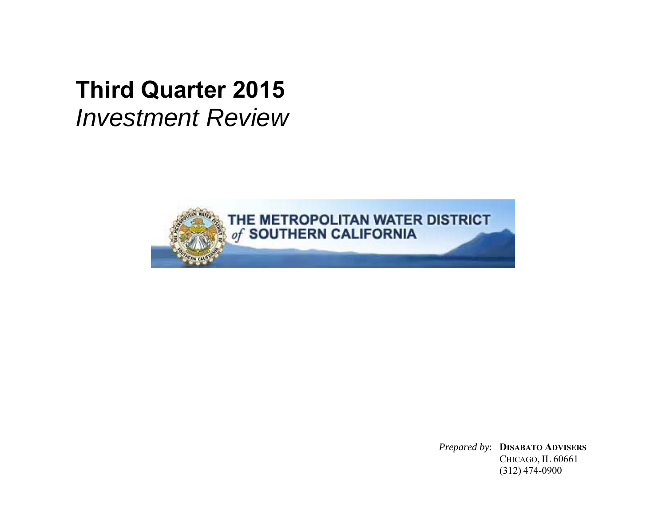# **Third Quarter 2015**  *Investment Review*



*Prepared by*: **DISABATO ADVISERS** CHICAGO, IL 60661 (312) 474-0900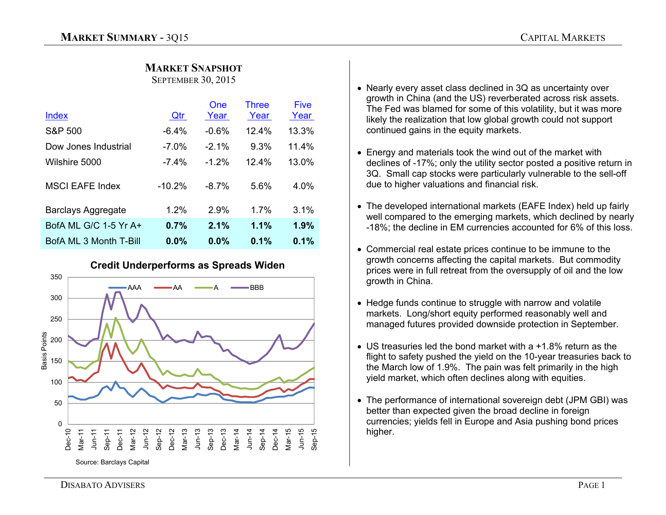# **MARKET SNAPSHOT**

SEPTEMBER 30, 2015

| <b>Index</b>              | Qtr      | One<br>Year | <b>Three</b><br>Year | Five<br>Year |
|---------------------------|----------|-------------|----------------------|--------------|
| <b>S&amp;P 500</b>        | $-6.4%$  | $-0.6%$     | 124%                 | 13.3%        |
| Dow Jones Industrial      | $-7.0\%$ | $-21%$      | 9.3%                 | 11.4%        |
| Wilshire 5000             | $-7.4%$  | $-1.2%$     | 12.4%                | 13.0%        |
| <b>MSCI EAFE Index</b>    | $-10.2%$ | $-8.7%$     | 5.6%                 | $4.0\%$      |
| <b>Barclays Aggregate</b> | 1.2%     | 2.9%        | 1.7%                 | 3.1%         |
| BofA ML G/C 1-5 Yr A+     | 0.7%     | 2.1%        | 1.1%                 | 1.9%         |
| BofA ML 3 Month T-Bill    | $0.0\%$  | $0.0\%$     | $0.1\%$              | $0.1\%$      |



- Nearly every asset class declined in 3Q as uncertainty over growth in China (and the US) reverberated across risk assets. The Fed was blamed for some of this volatility, but it was more likely the realization that low global growth could not support continued gains in the equity markets.
- Energy and materials took the wind out of the market with declines of -17%; only the utility sector posted a positive return in 3Q. Small cap stocks were particularly vulnerable to the sell-off due to higher valuations and financial risk.
- The developed international markets (EAFE Index) held up fairly well compared to the emerging markets, which declined by nearly -18%; the decline in EM currencies accounted for 6% of this loss.
- Commercial real estate prices continue to be immune to the growth concerns affecting the capital markets. But commodity prices were in full retreat from the oversupply of oil and the low growth in China.
- Hedge funds continue to struggle with narrow and volatile markets. Long/short equity performed reasonably well and managed futures provided downside protection in September.
- US treasuries led the bond market with a +1.8% return as the flight to safety pushed the yield on the 10-year treasuries back to the March low of 1.9%. The pain was felt primarily in the high yield market, which often declines along with equities.
- The performance of international sovereign debt (JPM GBI) was better than expected given the broad decline in foreign currencies; yields fell in Europe and Asia pushing bond prices higher.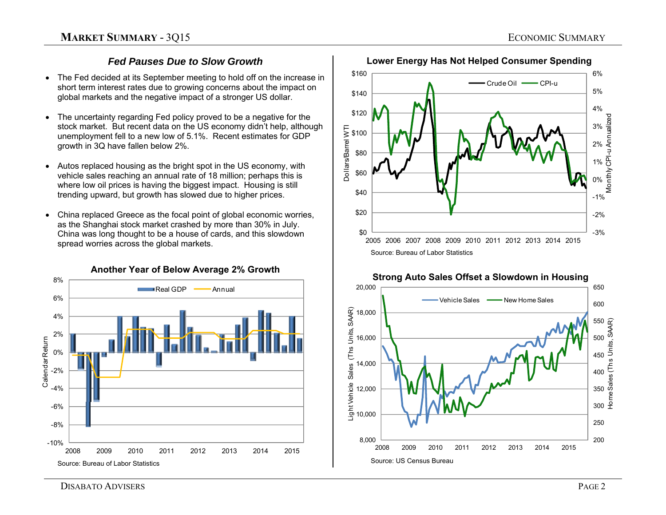# *Fed Pauses Due to Slow Growth*

- The Fed decided at its September meeting to hold off on the increase in short term interest rates due to growing concerns about the impact on global markets and the negative impact of a stronger US dollar.
- The uncertainty regarding Fed policy proved to be a negative for the stock market. But recent data on the US economy didn't help, although unemployment fell to a new low of 5.1%. Recent estimates for GDP growth in 3Q have fallen below 2%.
- Autos replaced housing as the bright spot in the US economy, with vehicle sales reaching an annual rate of 18 million; perhaps this is where low oil prices is having the biggest impact. Housing is still trending upward, but growth has slowed due to higher prices.
- China replaced Greece as the focal point of global economic worries, as the Shanghai stock market crashed by more than 30% in July. China was long thought to be a house of cards, and this slowdown spread worries across the global markets.



**Another Year of Below Average 2% Growth** 

**Lower Energy Has Not Helped Consumer Spending** 





# **Strong Auto Sales Offset a Slowdown in Housing**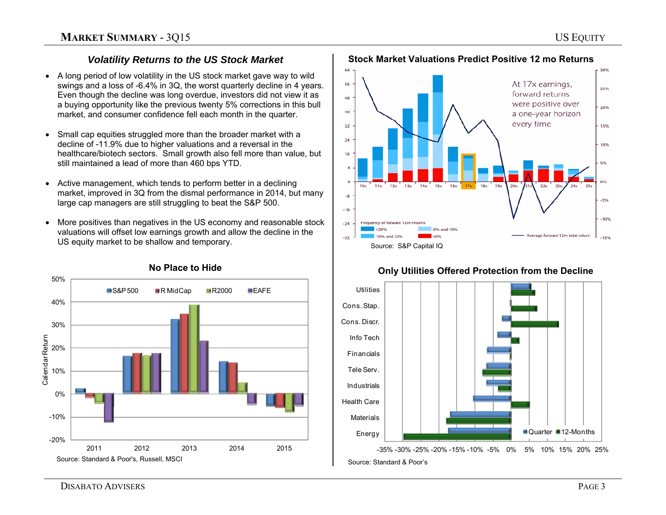# *Volatility Returns to the US Stock Market*

- A long period of low volatility in the US stock market gave way to wild swings and a loss of -6.4% in 3Q, the worst quarterly decline in 4 years. Even though the decline was long overdue, investors did not view it as a buying opportunity like the previous twenty 5% corrections in this bull market, and consumer confidence fell each month in the quarter.
- Small cap equities struggled more than the broader market with a decline of -11.9% due to higher valuations and a reversal in the healthcare/biotech sectors. Small growth also fell more than value, but still maintained a lead of more than 460 bps YTD.
- Active management, which tends to perform better in a declining market, improved in 3Q from the dismal performance in 2014, but many large cap managers are still struggling to beat the S&P 500.
- More positives than negatives in the US economy and reasonable stock valuations will offset low earnings growth and allow the decline in the US equity market to be shallow and temporary.



#### **No Place to Hide**



 **Stock Market Valuations Predict Positive 12 mo Returns** 

# Source: S&P Capital IQ

# -35% -30% -25% -20% -15% -10% -5% 0% 5% 10% 15% 20% 25% **Utilities** Cons. Stap. Cons. Discr.Info TechFinancialsTele Serv.IndustrialsHealth Care**Materials** Energy **Quarter 12-Months** Source: Standard & Poor's

# **Only Utilities Offered Protection from the Decline**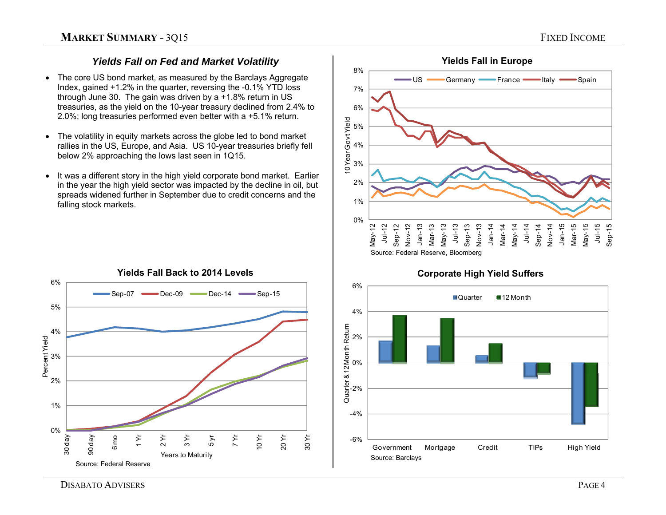# *Yields Fall on Fed and Market Volatility*

- The core US bond market, as measured by the Barclays Aggregate Index, gained +1.2% in the quarter, reversing the -0.1% YTD loss through June 30. The gain was driven by a +1.8% return in US treasuries, as the yield on the 10-year treasury declined from 2.4% to 2.0%; long treasuries performed even better with a +5.1% return.
- The volatility in equity markets across the globe led to bond market rallies in the US, Europe, and Asia. US 10-year treasuries briefly fell below 2% approaching the lows last seen in 1Q15.
- It was a different story in the high yield corporate bond market. Earlier in the year the high yield sector was impacted by the decline in oil, but spreads widened further in September due to credit concerns and the falling stock markets.





Se

Ma

Source: Federal Reserve, Bloomberg

8%

Ma

4%

6%

Se

 $-US$ 

**Yields Fall in Europe** 

Germany **France** Italy Spain

# ■Quarter ■12 Month

**Corporate High Yield Suffers**

Se

Ma

Jul-15 Sep-15



# DISABATO ADVISERS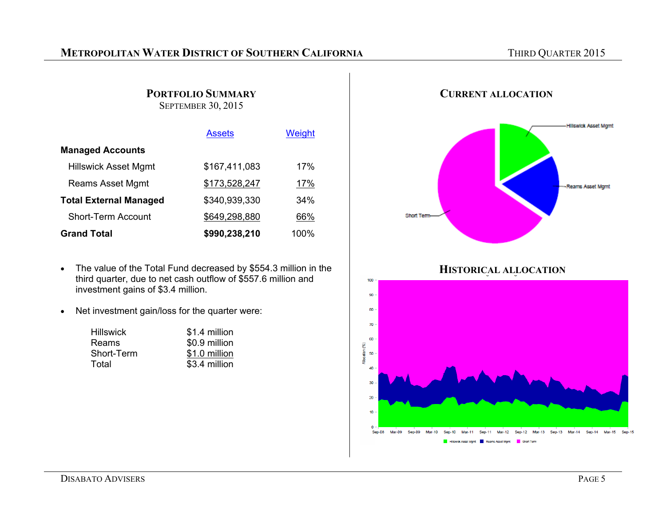# **METROPOLITAN WATER DISTRICT OF SOUTHERN CALIFORNIA**

| <b>PORTFOLIO SUMMARY</b><br><b>SEPTEMBER 30, 2015</b> |               |        |  |  |
|-------------------------------------------------------|---------------|--------|--|--|
|                                                       | Assets        | Weight |  |  |
| <b>Managed Accounts</b>                               |               |        |  |  |
| <b>Hillswick Asset Mgmt</b>                           | \$167,411,083 | 17%    |  |  |
| Reams Asset Mgmt                                      | \$173,528,247 | 17%    |  |  |
| <b>Total External Managed</b>                         | \$340,939,330 | 34%    |  |  |
| <b>Short-Term Account</b>                             | \$649,298,880 | 66%    |  |  |
| <b>Grand Total</b>                                    | \$990,238,210 | 100%   |  |  |

- The value of the Total Fund decreased by \$554.3 million in the third quarter, due to net cash outflow of \$557.6 million and investment gains of \$3.4 million.
- $\bullet$ Net investment gain/loss for the quarter were:

| <b>Hillswick</b> | \$1.4 million |
|------------------|---------------|
| Reams            | \$0.9 million |
| Short-Term       | \$1.0 million |
| Total            | \$3.4 million |



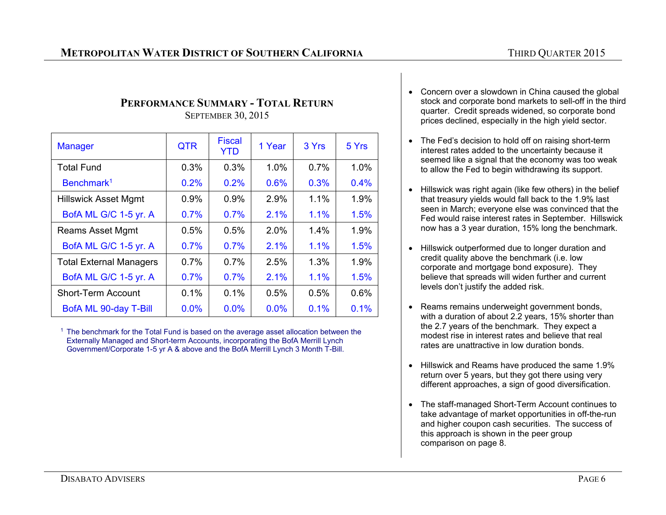# **PERFORMANCE SUMMARY - TOTAL RETURN**SEPTEMBER 30, 2015

| <b>Manager</b>                 | <b>QTR</b> | <b>Fiscal</b><br><b>YTD</b> | 1 Year | 3 Yrs | 5 Yrs |
|--------------------------------|------------|-----------------------------|--------|-------|-------|
| <b>Total Fund</b>              | 0.3%       | 0.3%                        | 1.0%   | 0.7%  | 1.0%  |
| Benchmark <sup>1</sup>         | 0.2%       | 0.2%                        | 0.6%   | 0.3%  | 0.4%  |
| <b>Hillswick Asset Mgmt</b>    | 0.9%       | 0.9%                        | 2.9%   | 1.1%  | 1.9%  |
| BofA ML G/C 1-5 yr. A          | 0.7%       | 0.7%                        | 2.1%   | 1.1%  | 1.5%  |
| <b>Reams Asset Mgmt</b>        | 0.5%       | 0.5%                        | 2.0%   | 1.4%  | 1.9%  |
| BofA ML G/C 1-5 yr. A          | 0.7%       | 0.7%                        | 2.1%   | 1.1%  | 1.5%  |
| <b>Total External Managers</b> | 0.7%       | 0.7%                        | 2.5%   | 1.3%  | 1.9%  |
| BofA ML G/C 1-5 yr. A          | 0.7%       | 0.7%                        | 2.1%   | 1.1%  | 1.5%  |
| <b>Short-Term Account</b>      | 0.1%       | 0.1%                        | 0.5%   | 0.5%  | 0.6%  |
| BofA ML 90-day T-Bill          | 0.0%       | 0.0%                        | 0.0%   | 0.1%  | 0.1%  |

<sup>1</sup> The benchmark for the Total Fund is based on the average asset allocation between the Externally Managed and Short-term Accounts, incorporating the BofA Merrill Lynch Government/Corporate 1-5 yr A & above and the BofA Merrill Lynch 3 Month T-Bill.

- Concern over a slowdown in China caused the global stock and corporate bond markets to sell-off in the third quarter. Credit spreads widened, so corporate bond prices declined, especially in the high yield sector.
- The Fed's decision to hold off on raising short-term interest rates added to the uncertainty because it seemed like a signal that the economy was too weak to allow the Fed to begin withdrawing its support.
- Hillswick was right again (like few others) in the belief that treasury yields would fall back to the 1.9% last seen in March; everyone else was convinced that the Fed would raise interest rates in September. Hillswick now has a 3 year duration, 15% long the benchmark.
- Hillswick outperformed due to longer duration and credit quality above the benchmark (i.e. low corporate and mortgage bond exposure). They believe that spreads will widen further and current levels don't justify the added risk.
- Reams remains underweight government bonds, with a duration of about 2.2 years, 15% shorter than the 2.7 years of the benchmark. They expect a modest rise in interest rates and believe that real rates are unattractive in low duration bonds.
- $\bullet$  Hillswick and Reams have produced the same 1.9% return over 5 years, but they got there using very different approaches, a sign of good diversification.
- The staff-managed Short-Term Account continues to take advantage of market opportunities in off-the-run and higher coupon cash securities. The success of this approach is shown in the peer group comparison on page 8.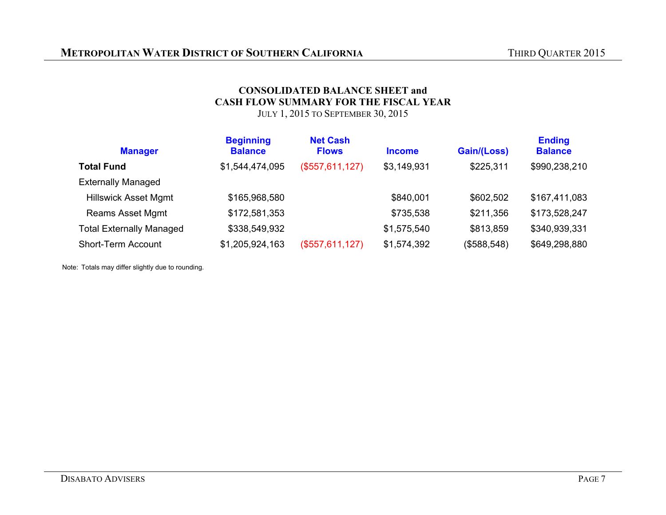# **CONSOLIDATED BALANCE SHEET and CASH FLOW SUMMARY FOR THE FISCAL YEAR**  JULY 1, 2015 TO SEPTEMBER 30, 2015

| <b>Manager</b>                  | <b>Beginning</b><br><b>Balance</b> | <b>Net Cash</b><br><b>Flows</b> | <b>Income</b> | Gain/(Loss) | <b>Ending</b><br><b>Balance</b> |
|---------------------------------|------------------------------------|---------------------------------|---------------|-------------|---------------------------------|
| <b>Total Fund</b>               | \$1,544,474,095                    | (\$557,611,127)                 | \$3,149,931   | \$225,311   | \$990,238,210                   |
| <b>Externally Managed</b>       |                                    |                                 |               |             |                                 |
| <b>Hillswick Asset Mgmt</b>     | \$165,968,580                      |                                 | \$840,001     | \$602,502   | \$167,411,083                   |
| <b>Reams Asset Mgmt</b>         | \$172,581,353                      |                                 | \$735,538     | \$211,356   | \$173,528,247                   |
| <b>Total Externally Managed</b> | \$338,549,932                      |                                 | \$1,575,540   | \$813,859   | \$340,939,331                   |
| <b>Short-Term Account</b>       | \$1,205,924,163                    | (\$557,611,127)                 | \$1,574,392   | (\$588,548) | \$649,298,880                   |

Note: Totals may differ slightly due to rounding.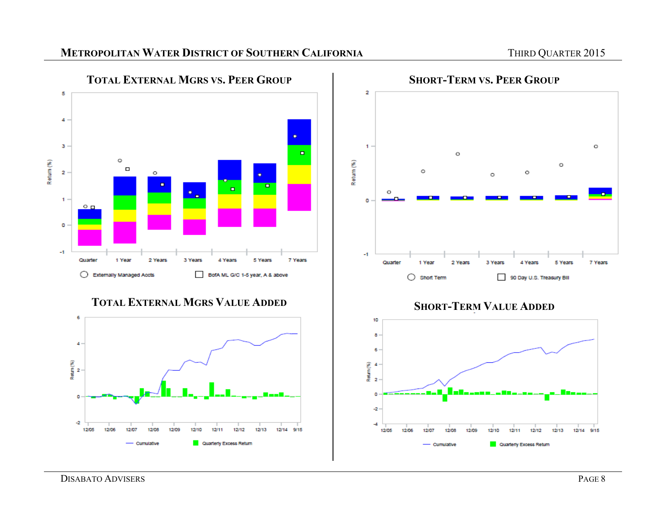

**TOTAL EXTERNAL MGRS VS. PEER GROUP**

**TOTAL EXTERNAL MGRS VALUE ADDED**





**SHORT-TERM VS. PEER GROUP**



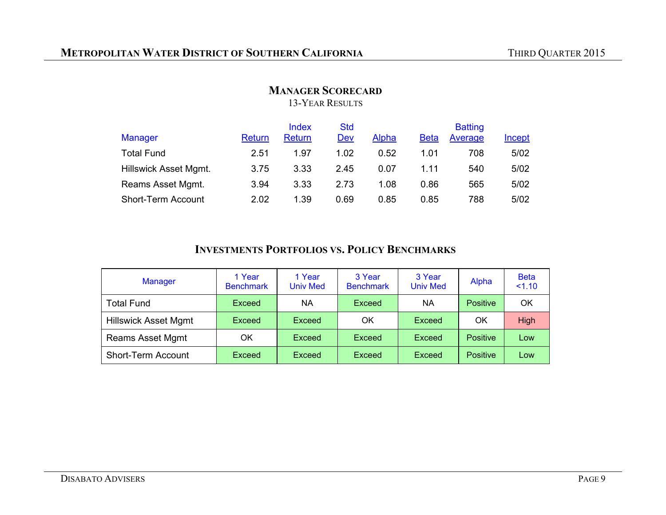| 13-YEAR RESULTS           |               |                        |                          |              |             |                           |               |
|---------------------------|---------------|------------------------|--------------------------|--------------|-------------|---------------------------|---------------|
| Manager                   | <b>Return</b> | Index<br><b>Return</b> | <b>Std</b><br><u>Dev</u> | <b>Alpha</b> | <b>Beta</b> | <b>Batting</b><br>Average | <u>Incept</u> |
| <b>Total Fund</b>         | 2.51          | 1.97                   | 1.02                     | 0.52         | 1.01        | 708                       | 5/02          |
| Hillswick Asset Mgmt.     | 3.75          | 3.33                   | 2.45                     | 0.07         | 1.11        | 540                       | 5/02          |
| Reams Asset Mgmt.         | 3.94          | 3.33                   | 2.73                     | 1.08         | 0.86        | 565                       | 5/02          |
| <b>Short-Term Account</b> | 2.02          | 1.39                   | 0.69                     | 0.85         | 0.85        | 788                       | 5/02          |

# **MANAGER SCORECARD**

# **INVESTMENTS PORTFOLIOS VS. POLICY BENCHMARKS**

| <b>Manager</b>              | 1 Year<br><b>Benchmark</b> | 1 Year<br><b>Univ Med</b> | 3 Year<br><b>Benchmark</b> | 3 Year<br><b>Univ Med</b> | Alpha           | <b>Beta</b><br>1.10 |
|-----------------------------|----------------------------|---------------------------|----------------------------|---------------------------|-----------------|---------------------|
| <b>Total Fund</b>           | Exceed                     | NA                        | Exceed                     | NА                        | Positive        | OK                  |
| <b>Hillswick Asset Mgmt</b> | Exceed                     | Exceed                    | OK                         | Exceed                    | OK              | High                |
| <b>Reams Asset Mgmt</b>     | OK                         | Exceed                    | Exceed                     | Exceed                    | Positive        | Low                 |
| <b>Short-Term Account</b>   | Exceed                     | Exceed                    | Exceed                     | Exceed                    | <b>Positive</b> | Low                 |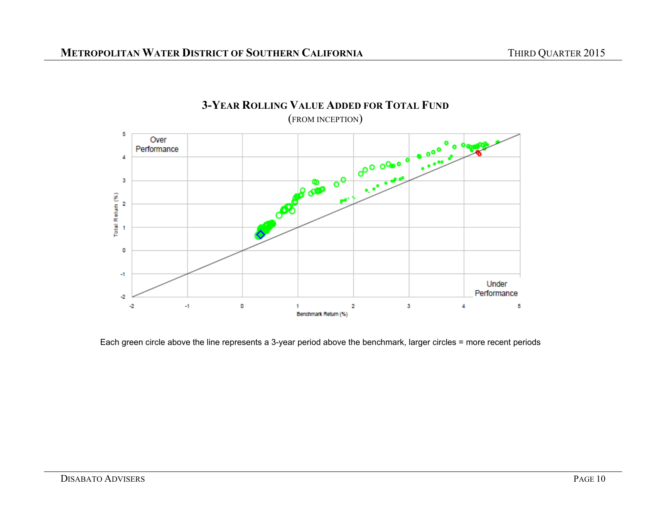

Each green circle above the line represents a 3-year period above the benchmark, larger circles = more recent periods